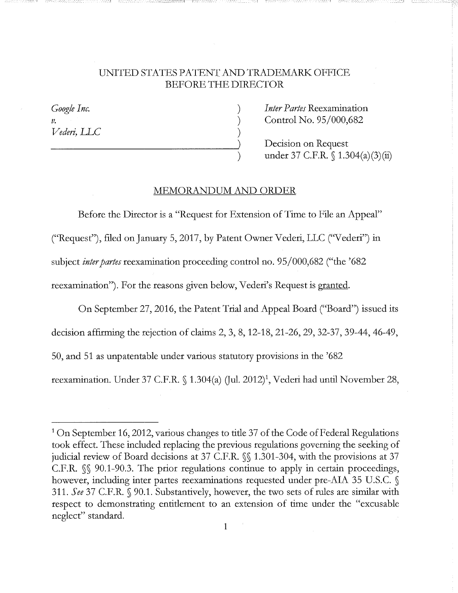## UNITED STATES PATENT AND TRADEMARK. OFFICE BEFORE THE DIRECTOR

) ) )

*Google Inc.*  V. *Vedeti, LLC*  *Inter Partes* Reexamination Control No. 95/000,682

Decision on Request under 37 C.F.R.  $\{(1.304(a)(3)(ii)\)}$ 

## MEMORANDUM AND ORDER

Before the Director is a "Request for Extension of Time to File an Appeal" ("Request"), filed on January 5, 2017, by Patent Owner Vederi, LLC (''V ederi") in subject *inter partes* reexamination proceeding control no. 95/000,682 ("the '682 reexamination"). For the reasons given below, Vederi's Request is granted.

On September 27, 2016, the Patent Trial and Appeal Board ("Board") issued its decision affirming the rejection of claims 2, 3, 8, 12-18, 21-26, 29, 32-37, 39-44, 46-49, 50, and 51 as unpatentable under various statutory provisions in the '682 reexamination. Under 37 C.F.R. § 1.304(a) (Jul. 2012)<sup>1</sup>, Vederi had until November 28,

<sup>&</sup>lt;sup>1</sup> On September 16, 2012, various changes to title 37 of the Code of Federal Regulations took effect. These included replacing the previous regulations governing the seeking of judicial review of Board decisions at 37 C.F.R. §§ 1.301-304, with the provisions at 37 C.F.R. §§ 90.1-90.3. The prior regulations continue to apply in certain proceedings, however, including inter partes reexaminations requested under pre-AIA 35 U.S.C. § 311. See 37 C.F.R. § 90.1. Substantively, however, the two sets of rules are similar with respect to demonstrating entitlement to an extension of time under the "excusable neglect" standard.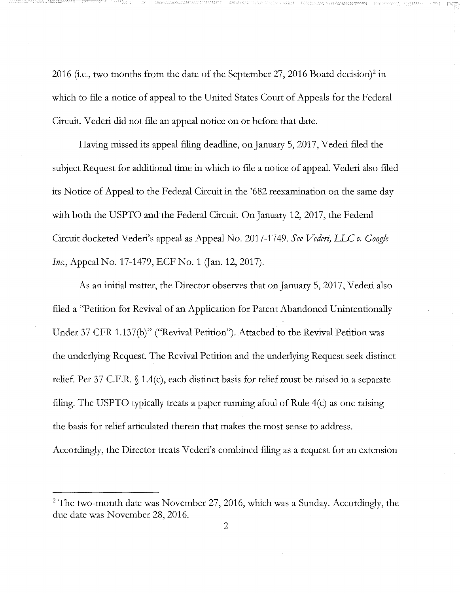2016 (i.e., two months from the date of the September 27, 2016 Board decision)<sup>2</sup> in which to file a notice of appeal to the United States Court of Appeals for the Federal Circuit. Vederi did not file an appeal notice on or before that date.

------:-i 1--\_

Having missed its appeal filing deadline, on January 5, 2017, Vederi filed the subject Request for additional time in which to file a notice of appeal. Vederi also filed its Notice of Appeal to the Federal Circuit in the '682 reexamination on the same day with both the USPTO and the Federal Circuit. On January 12, 2017, the Federal Circuit docketed Vederi's appeal as Appeal No. 2017-1749. *See Vederi,* LLC *v. Google Inc.*, Appeal No. 17-1479, ECF No. 1 (Jan. 12, 2017).

As an initial matter, the Director observes that on January 5, 2017, Vederi also filed a "Petition for Revival of an Application for Patent Abandoned Unintentionally Under 37 CFR 1.137(6)" ("Revival Petition"). Attached to the Revival Petition was the underlying Request. The Revival Petition and the underlying Request seek distinct relief. Per 37 C.F.R. § 1.4(c), each distinct basis for relief must be raised in a separate filing. The USPTO typically treats a paper running afoul of Rule 4(c) as one raising the basis for relief articulated therein that makes the most sense to address. Accordingly, the Director treats Vederi's combined filing as a request for an extension

 $2$  The two-month date was November 27, 2016, which was a Sunday. Accordingly, the due date was November 28, 2016.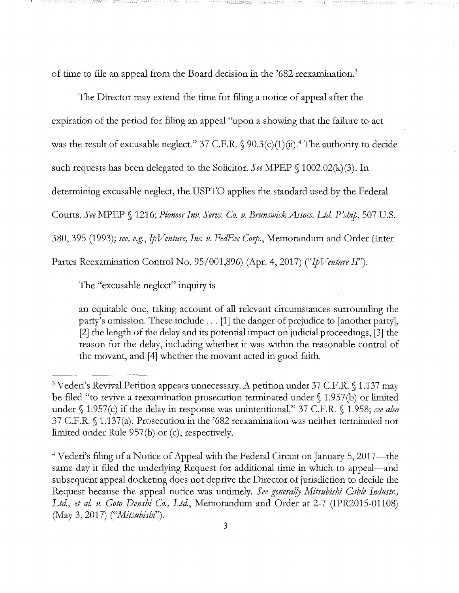of time to file an appeal from the Board decision in the '682 reexamination.<sup>3</sup>

The Director may extend the time for filing a notice of appeal after the expiration of the period for filing an appeal "upon a showing that the failure to act was the result of excusable neglect." 37 C.F.R.  $\S$  90.3(c)(1)(ii).<sup>4</sup> The authority to decide such requests has been delegated to the Solicitor. *See* MPEP § 1002.02(k)(3). In determining excusable neglect, the USPTO applies the standard used by the Federal Courts. See MPEP § 1216; *Pioneer Inv. Servs. Co. v. Brunswick Assocs. Ltd. P'ship*, 507 U.S. 380,395 (1993); *see, e.g.,* Ip *Venture, Inc. v. FedEx Corp.,* Memorandum and Order (Inter Partes Reexamination Control No. 95/001,896) (Apr. 4, 2017) ("Ip *Venture II").* 

The "excusable neglect" inquiry is

an equitable one, taking account of all relevant circumstances surrounding the party's omission. These include ... [1] the danger of prejudice to [another party], [2] the length of the delay and its potential impact on judicial proceedings, [3] the reason for the delay, including whether it was within the reasonable control of the movant, and [4] whether the movant acted in good faith.

<sup>&</sup>lt;sup>3</sup> Vederi's Revival Petition appears unnecessary. A petition under 37 C.F.R. § 1.137 may be filed "to revive a reexamination prosecution terminated under§ 1.957(b) or limited under§ 1.957(c) if the delay in response was unintentional." 37 C.F.R. § 1.958; *see also*  37 C.F.R. § 1.137(a). Prosecution in the '682 reexamination was neither terminated nor limited under Rule 957(b) or (c), respectively.

<sup>&</sup>lt;sup>4</sup> Vederi's filing of a Notice of Appeal with the Federal Circuit on January 5, 2017—the same day it filed the underlying Request for additional time in which to appeal—and subsequent appeal docketing does not deprive the Director of jurisdiction to decide the Request because the appeal notice was untimely. *See generally Mitsubishi Cable Industr.*, *Ltd, et aL v. Goto Denshi Co., Ltd,* Memorandum and Order at 2-7 (IPR2015-01108) (May 3, 2017) *("Mitsubishl').*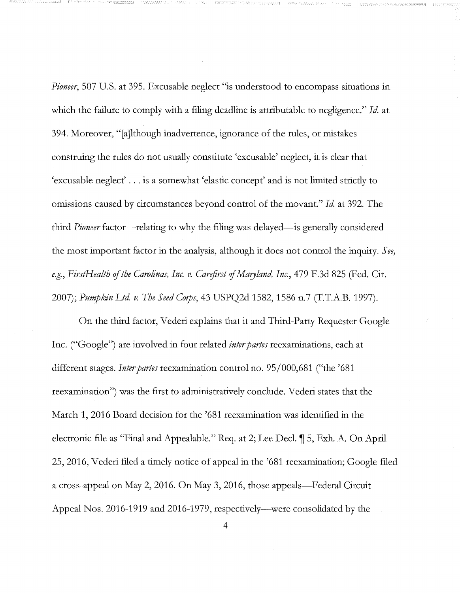*Pioneer,* 507 U.S. at 395. Excusable neglect "is understood to encompass situations in which the failure to comply with a filing deadline is attributable to negligence." *Id.* at 394. Moreover, "[a]lthough inadvertence, ignorance of the rules, or mistakes construing the rules do not usually constitute 'excusable' neglect, it is clear that 'excusable neglect' ... is a somewhat 'elastic concept' and is not limited strictly to omissions caused by circumstances beyond control of the movant." *Id.* at 392. The third *Pioneer* factor—relating to why the filing was delayed—is generally considered the most important factor in the analysis, although it does not control the inquiry. *See,*  e.g., FirstHealth of the Carolinas, Inc. v. Carefirst of Maryland, Inc., 479 F.3d 825 (Fed. Cir. 2007); *Pumpkin Ltd v. The Seed Corps,* 43 USPQ2d 1582, 1586 n.7 (T.T.A.B. 1997).

 $-1.1$ 

- \_\_ I *I \_\_* 

On the third factor, Vederi explains that it and Third-Party Requester Google Inc. ("Google") are involved in four related *inter partes* reexaminations, each at different stages. *Inter partes* reexamination control no. 95/000,681 ("the '681 reexamination") was the first to administratively conclude. Vederi states that the March 1, 2016 Board decision for the '681 reexamination was identified in the electronic file as "Final and Appealable." Req. at 2; Lee Decl.  $\P$  5, Exh. A. On April 25, 2016, Vederi filed a timely notice of appeal in the '681 reexamination; Google filed a cross-appeal on May 2, 2016. On May 3, 2016, those appeals—Federal Circuit Appeal Nos. 2016-1919 and 2016-1979, respectively—were consolidated by the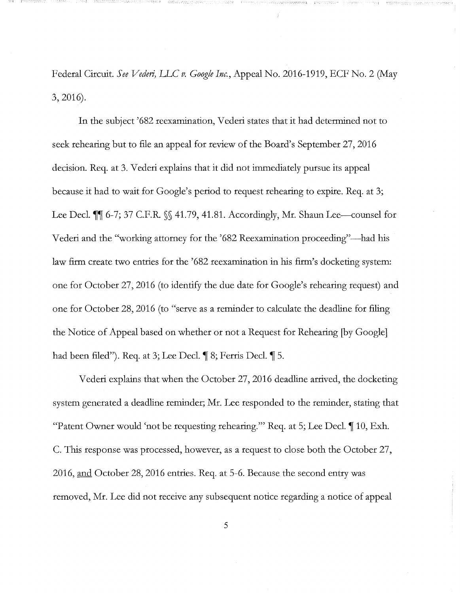Federal Circuit. *See Vederi)* LLC *v. Google Inc.,* Appeal No. 2016-1919, ECF No. 2 (May 3,2016).

In the subject '682 reexamination, Vederi states that it had determined not to seek rehearing but to file an appeal for review of the Board's September 27, 2016 decision. Req. at 3. Vederi explains that it did not immediately pursue its appeal because it had to wait for Google's period to request rehearing to expire. Req. at 3; Lee Decl. <sup>11</sup> 6-7; 37 C.F.R. §§ 41.79, 41.81. Accordingly, Mr. Shaun Lee-counsel for Vederi and the "working attorney for the '682 Reexamination proceeding"-had his law firm create two entries for the '682 reexamination in his firm's docketing system: one for October 27, 2016 (to identify the due date for Google's rehearing request) and one for October 28, 2016 (to "serve as a reminder to calculate the deadline for filing the Notice of Appeal based on whether or not a Request for Rehearing [by Google] had been filed"). Req. at 3; Lee Decl.  $\llbracket 8$ ; Ferris Decl.  $\llbracket 5$ .

Vederi explains that when the October 27, 2016 deadline arrived, the docketing system generated a deadline reminder; Mr. Lee responded to the reminder, stating that "Patent Owner would 'not be requesting rehearing."" Req. at 5; Lee Decl.  $\parallel$  10, Exh. C. This response was processed, however, as a request to close both the October 27, 2016, and October 28, 2016 entries. Req. at 5-6. Because the second entry was removed, Mr. Lee did not receive any subsequent notice regarding a notice of appeal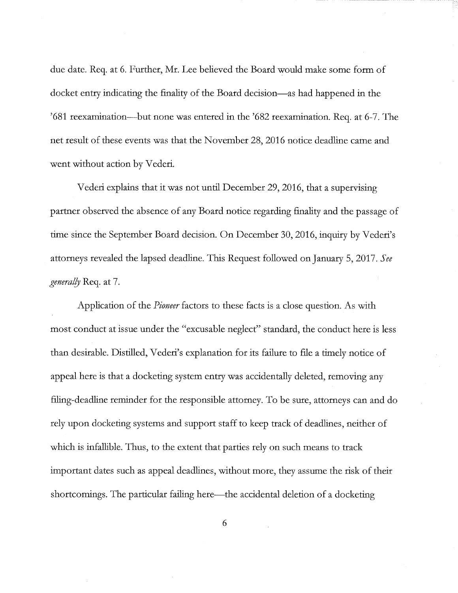due date. Req. at 6. Further, Mr. Lee believed the Board would make some form of docket entry indicating the finality of the Board decision-as had happened in the '681 reexamination-but none was entered in the '682 reexamination. Req. at 6-7. The net result of these events was that the November 28, 2016 notice deadline came and went without action by Vederi.

Vederi explains that it was not until December 29, 2016, that a supervising partner observed the absence of any Board notice regarding finality and the passage of time since the September Board decision. On December 30, 2016, inquiry by Vederi's attorneys revealed the lapsed deadline. This Request followed on January 5, 2017. *See general!J* Req. at 7.

Application of the *Pioneer* factors to these facts is a close question. As with most conduct at issue under the "excusable neglect" standard, the conduct here is less than desirable. Distilled, Vederi's explanation for its failure to file a timely notice of appeal here is that a docketing system entry was accidentally deleted, removing any filing-deadline reminder for the responsible attorney. To be sure, attorneys can and do rely upon docketing systems and support staff to keep track of deadlines, neither of which is infallible. Thus, to the extent that parties rely on such means to track important dates such as appeal deadlines, without more, they assume the risk of their shortcomings. The particular failing here—the accidental deletion of a docketing

6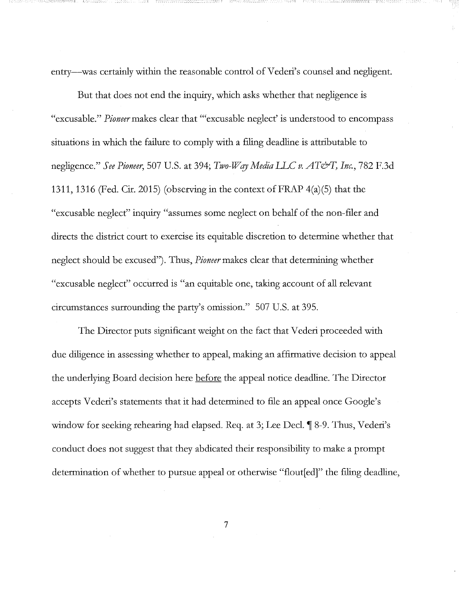entry—was certainly within the reasonable control of Vederi's counsel and negligent.

But that does not end the inquiry, which asks whether that negligence is "excusable." *Pioneer* makes clear that "'excusable neglect' is understood to encompass situations in which the failure to comply with a filing deadline is attributable to negligence." *See Pioneer,* 507 U.S. at 394; *Two-W qy Media LLC v. AT&T, Inc.,* 782 F.3d 1311, 1316 (Fed. Cir. 2015) (observing in the context of FRAP 4(a)(5) that the "excusable neglect" inquiry "assumes some neglect on behalf of the non-filer and directs the district court to exercise its equitable discretion to determine whether that neglect should be excused"). Thus, *Pioneermakes* clear that determining whether "excusable neglect" occurred is "an equitable one, taking account of all relevant circumstances surrounding the party's omission." 507 U.S. at 395.

The Director puts significant weight on the fact that V ederi proceeded with due diligence in assessing whether to appeal, making an affirmative decision to appeal the underlying Board decision here before the appeal notice deadline. The Director accepts Vederi's statements that it had determined to file an appeal once Google's window for seeking rehearing had elapsed. Req. at 3; Lee Decl. ¶ 8-9. Thus, Vederi's conduct does not suggest that they abdicated their responsibility to make a prompt determination of whether to pursue appeal or otherwise "flout[ed]" the filing deadline,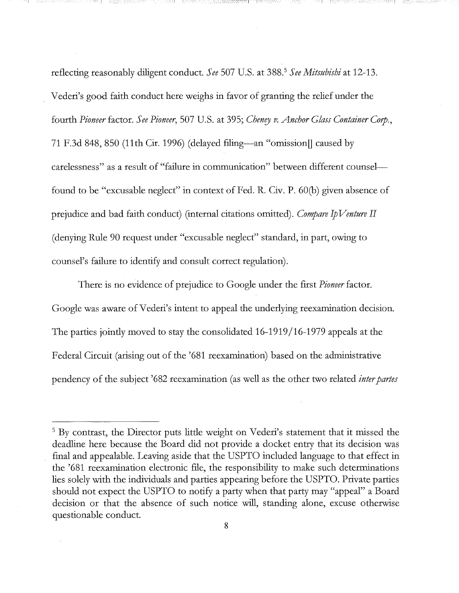reflecting reasonably diligent conduct. *See* 507 U.S. at 388.<sup>5</sup>*See Mitsubishi* at 12-13. Vederi's good faith conduct here weighs in favor of granting the relief under the fourth *Pioneer* factor. *See Pioneer,* 507 U.S. at 395; *Chenry v. Anchor Glass Container C01p.,*  71 F.3d 848, 850 (11th Cir. 1996) (delayed filing-an "omission]] caused by carelessness" as a result of "failure in communication" between different counselfound to be "excusable neglect" in context of Fed. R. Civ. P. 60(6) given absence of prejudice and bad faith conduct) (internal citations omitted). *Compare* Ip *Venture II*  (denying Rule 90 request under "excusable neglect" standard, in part, owing to counsel's failure to identify and consult correct regulation).

There is no evidence of prejudice to Google under the first *Pioneer* factor. Google was aware of Vederi's intent to appeal the underlying reexamination decision. The parties jointly moved to stay the consolidated 16-1919 /16-1979 appeals at the Federal Circuit (arising out of the '681 reexamination) based on the administrative pendency of the subject '682 reexamination (as well as the other two related *inter partes* 

<sup>&</sup>lt;sup>5</sup> By contrast, the Director puts little weight on Vederi's statement that it missed the deadline here because the Board did not provide a docket entry that its decision was final and appealable. Leaving aside that the USPTO included language to that effect in the '681 reexamination electronic file, the responsibility to make such determinations lies solely with the individuals and parties appearing before the USPTO. Private parties should not expect the USPTO to notify a party when that party may "appeal" a Board decision or that the absence of such notice will, standing alone, excuse otherwise questionable conduct.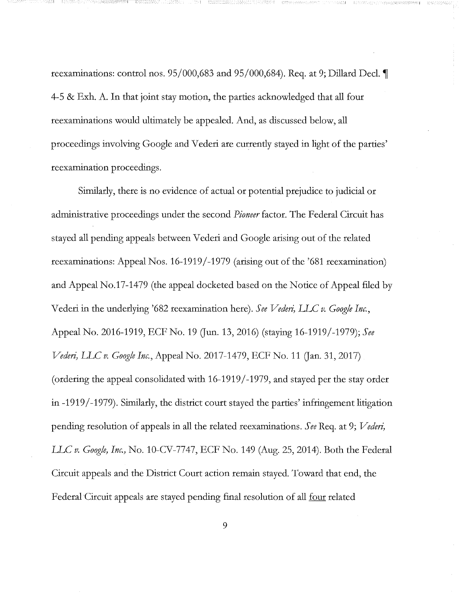reexaminations: control nos.  $95/000,683$  and  $95/000,684$ ). Req. at 9; Dillard Decl. 4-5 & Exh. A. In that joint stay motion, the parties acknowledged that all four reexaminations would ultimately be appealed. And, as discussed below, all proceedings involving Google and Vederi are currently stayed in light of the parties' reexamination proceedings.

 $\mathbf{I} = \mathbf{I}$  :

Similarly, there is no evidence of actual or potential prejudice to judicial or administrative proceedings under the second *Pioneer* factor. The Federal Circuit has stayed all pending appeals between Vederi and Google arising out of the related reexaminations: Appeal Nos. 16-1919/-1979 (arising out of the '681 reexamination) and Appeal No.17-1479 (the appeal docketed based on the Notice of Appeal filed by Vederi in the underlying '682 reexamination here). See Vederi, LLC v. Google Inc., Appeal No. 2016-1919, ECF No. 19 Gun. 13, 2016) (staying 16-1919/-1979); *See Vederi,* LLC *v. Google Inc.,* Appeal No. 2017-1479, ECF No. 11 Gan. 31, 2017) (ordering the appeal consolidated with 16-1919/-1979, and stayed per the stay order in -1919 /-1979). Similarly, the district court stayed the parties' infringement litigation pending resolution of appeals in all the related reexaminations. See Req. at 9; *Vederi*, LLC *v. Google, Inc.,* No. 10-CV-7747, ECF No. 149 (Aug. 25, 2014). Both the Federal Circuit appeals and the District Court action remain stayed. Toward that end, the Federal Circuit appeals are stayed pending final resolution of all four related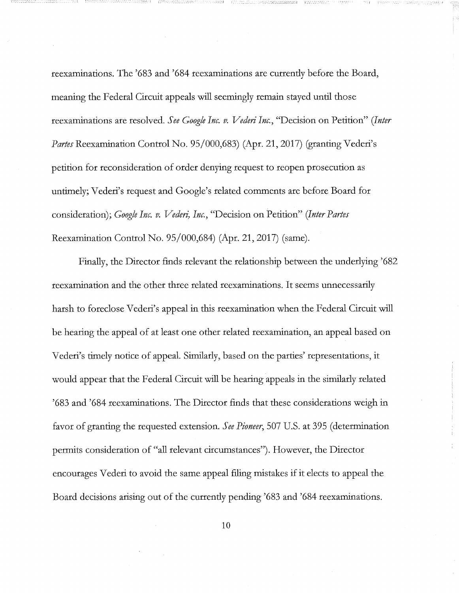reexaminations. The '683 and '684 reexaminations are currently before the Board, meaning the Federal Circuit appeals will seemingly remain stayed until those reexaminations are resolved. *See Google Inc. v. Vederi Inc.,* "Decision on Petition" *(!nter Partes* Reexamination Control No. 95/000,683) (Apr. 21, 2017) (granting Vederi's petition for reconsideration of order denying request to reopen prosecution as untimely; Vederi's request and Google's related comments are before Board for consideration); *Google Inc. v. Vederi, Inc.,* "Decision on Petition" *(Inter Partes*  Reexamination Control No. 95/000,684) (Apr. 21, 2017) (same).

Finally, the Director finds relevant the relationship between the underlying '682 reexamination and the other three related reexaminations. It seems unnecessarily harsh to foreclose Vederi's appeal in this reexamination when the Federal Circuit will be hearing the appeal of at least one other related reexamination, an appeal based on Vederi's timely notice of appeal. Similarly, based on the parties' representations, it would appear that the Federal Circuit will be hearing appeals in the similarly related '683 and '684 reexaminations. The Director finds that these considerations weigh in favor of granting the requested extension. *See Pioneer,* 507 U.S. at 395 (determination permits consideration of "all relevant circumstances"). However, the Director encourages Vederi to avoid the same appeal filing mistakes if it elects to appeal the Board decisions arising out of the currently pending '683 and '684 reexaminations.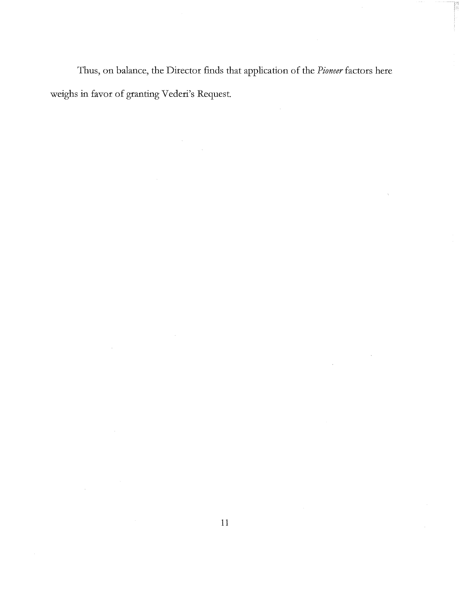Thus, on balance, the Director finds that application of the *Pioneer* factors here weighs in favor of granting Vederi's Request.

 $\bar{\beta}$ 

 $\bar{\bar{z}}$ 

 $\bar{z}$